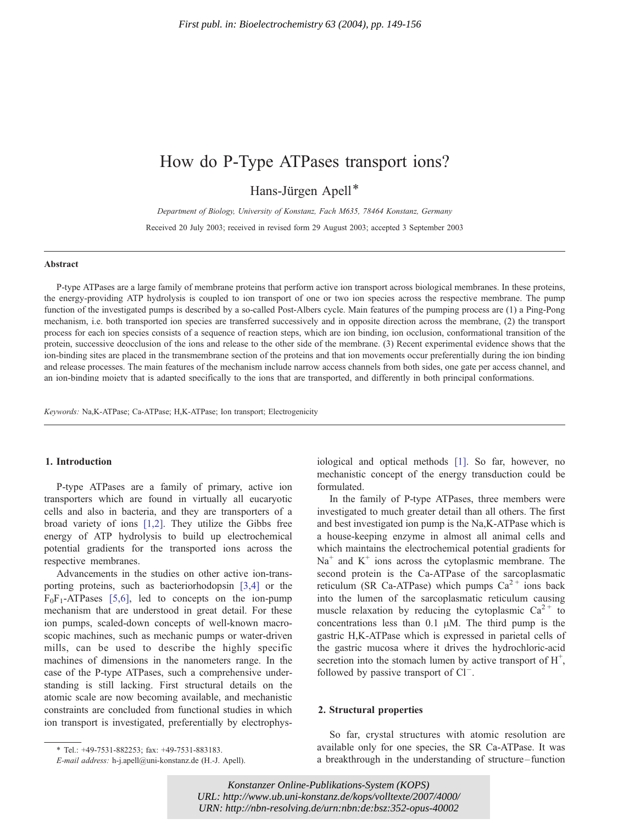# How do P-Type ATPases transport ions?

Hans-Jürgen Apell<sup>\*</sup>

Department of Biology, University of Konstanz, Fach M635, 78464 Konstanz, Germany Received 20 July 2003; received in revised form 29 August 2003; accepted 3 September 2003

### Abstract

P-type ATPases are a large family of membrane proteins that perform active ion transport across biological membranes. In these proteins, the energy-providing ATP hydrolysis is coupled to ion transport of one or two ion species across the respective membrane. The pump function of the investigated pumps is described by a so-called Post-Albers cycle. Main features of the pumping process are (1) a Ping-Pong mechanism, i.e. both transported ion species are transferred successively and in opposite direction across the membrane, (2) the transport process for each ion species consists of a sequence of reaction steps, which are ion binding, ion occlusion, conformational transition of the protein, successive deocclusion of the ions and release to the other side of the membrane. (3) Recent experimental evidence shows that the ion-binding sites are placed in the transmembrane section of the proteins and that ion movements occur preferentially during the ion binding and release processes. The main features of the mechanism include narrow access channels from both sides, one gate per access channel, and an ion-binding moiety that is adapted specifically to the ions that are transported, and differently in both principal conformations.

Keywords: Na,K-ATPase; Ca-ATPase; H,K-ATPase; Ion transport; Electrogenicity

# 1. Introduction

P-type ATPases are a family of primary, active ion transporters which are found in virtually all eucaryotic cells and also in bacteria, and they are transporters of a broad variety of ions [\[1,2\].](#page-6-0) They utilize the Gibbs free energy of ATP hydrolysis to build up electrochemical potential gradients for the transported ions across the respective membranes.

Advancements in the studies on other active ion-transporting proteins, such as bacteriorhodopsin [\[3,4\]](#page-6-0) or the  $F_0F_1$ -ATPases [\[5,6\],](#page-6-0) led to concepts on the ion-pump mechanism that are understood in great detail. For these ion pumps, scaled-down concepts of well-known macroscopic machines, such as mechanic pumps or water-driven mills, can be used to describe the highly specific machines of dimensions in the nanometers range. In the case of the P-type ATPases, such a comprehensive understanding is still lacking. First structural details on the atomic scale are now becoming available, and mechanistic constraints are concluded from functional studies in which ion transport is investigated, preferentially by electrophysiological and optical methods [\[1\].](#page-6-0) So far, however, no mechanistic concept of the energy transduction could be formulated.

In the family of P-type ATPases, three members were investigated to much greater detail than all others. The first and best investigated ion pump is the Na,K-ATPase which is a house-keeping enzyme in almost all animal cells and which maintains the electrochemical potential gradients for  $Na<sup>+</sup>$  and  $K<sup>+</sup>$  ions across the cytoplasmic membrane. The second protein is the Ca-ATPase of the sarcoplasmatic reticulum (SR Ca-ATPase) which pumps  $Ca^{2+}$  ions back into the lumen of the sarcoplasmatic reticulum causing muscle relaxation by reducing the cytoplasmic  $Ca^{2+}$  to concentrations less than  $0.1 \mu M$ . The third pump is the gastric H,K-ATPase which is expressed in parietal cells of the gastric mucosa where it drives the hydrochloric-acid secretion into the stomach lumen by active transport of  $H^+$ , followed by passive transport of  $Cl^-$ .

#### 2. Structural properties

So far, crystal structures with atomic resolution are available only for one species, the SR Ca-ATPase. It was a breakthrough in the understanding of structure – function

**1567-5394/ 2004 Elsevier Matter D 2004 Elsevier B.V. All rights reserved.** *KOPS*  $\overline{X}$ *URL:<http://www.ub.uni-konstanz.de/kops/volltexte/2007/4000/> URN:<http://nbn-resolving.de/urn:nbn:de:bsz:352-opus-40002>*

<sup>\*</sup> Tel.: +49-7531-882253; fax: +49-7531-883183.

E-mail address: h-j.apell@uni-konstanz.de (H.-J. Apell).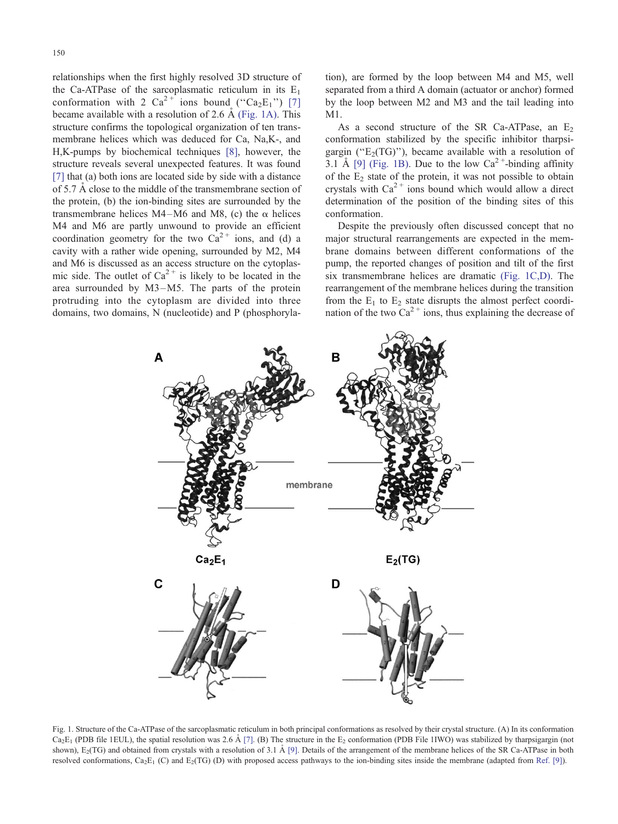<span id="page-1-0"></span>relationships when the first highly resolved 3D structure of the Ca-ATPase of the sarcoplasmatic reticulum in its  $E_1$ conformation with 2  $Ca^{2+}$  ions bound (" $Ca_2E_1$ ") [\[7\]](#page-6-0) became available with a resolution of 2.6  $\AA$  (Fig. 1A). This structure confirms the topological organization of ten transmembrane helices which was deduced for Ca, Na,K-, and H,K-pumps by biochemical techniques [\[8\],](#page-6-0) however, the structure reveals several unexpected features. It was found [\[7\]](#page-6-0) that (a) both ions are located side by side with a distance of 5.7 A close to the middle of the transmembrane section of the protein, (b) the ion-binding sites are surrounded by the transmembrane helices M4–M6 and M8, (c) the  $\alpha$  helices M4 and M6 are partly unwound to provide an efficient coordination geometry for the two  $Ca^{2+}$  ions, and (d) a cavity with a rather wide opening, surrounded by M2, M4 and M6 is discussed as an access structure on the cytoplasmic side. The outlet of  $Ca^{2+}$  is likely to be located in the area surrounded by M3–M5. The parts of the protein protruding into the cytoplasm are divided into three domains, two domains, N (nucleotide) and P (phosphorylation), are formed by the loop between M4 and M5, well separated from a third A domain (actuator or anchor) formed by the loop between M2 and M3 and the tail leading into M1.

As a second structure of the SR Ca-ATPase, an  $E<sub>2</sub>$ conformation stabilized by the specific inhibitor tharpsigargin (" $E_2(TG)$ "), became available with a resolution of 3.1 Å [\[9\]](#page-6-0) (Fig. 1B). Due to the low  $Ca^{2+}$ -binding affinity of the  $E_2$  state of the protein, it was not possible to obtain crystals with  $Ca^{2+}$  ions bound which would allow a direct determination of the position of the binding sites of this conformation.

Despite the previously often discussed concept that no major structural rearrangements are expected in the membrane domains between different conformations of the pump, the reported changes of position and tilt of the first six transmembrane helices are dramatic (Fig. 1C,D). The rearrangement of the membrane helices during the transition from the  $E_1$  to  $E_2$  state disrupts the almost perfect coordination of the two  $Ca^{2+}$  ions, thus explaining the decrease of



Fig. 1. Structure of the Ca-ATPase of the sarcoplasmatic reticulum in both principal conformations as resolved by their crystal structure. (A) In its conformation  $Ca_2E_1$  (PDB file 1EUL), the spatial resolution was 2.6 Å [\[7\].](#page-6-0) (B) The structure in the E<sub>2</sub> conformation (PDB File 1IWO) was stabilized by tharpsigargin (not shown), E<sub>2</sub>(TG) and obtained from crystals with a resolution of 3.1 Å [\[9\].](#page-6-0) Details of the arrangement of the membrane helices of the SR Ca-ATPase in both resolved conformations,  $Ca_2E_1$  (C) and  $E_2(TG)$  (D) with proposed access pathways to the ion-binding sites inside the membrane (adapted from [Ref. \[9\]\)](#page-6-0).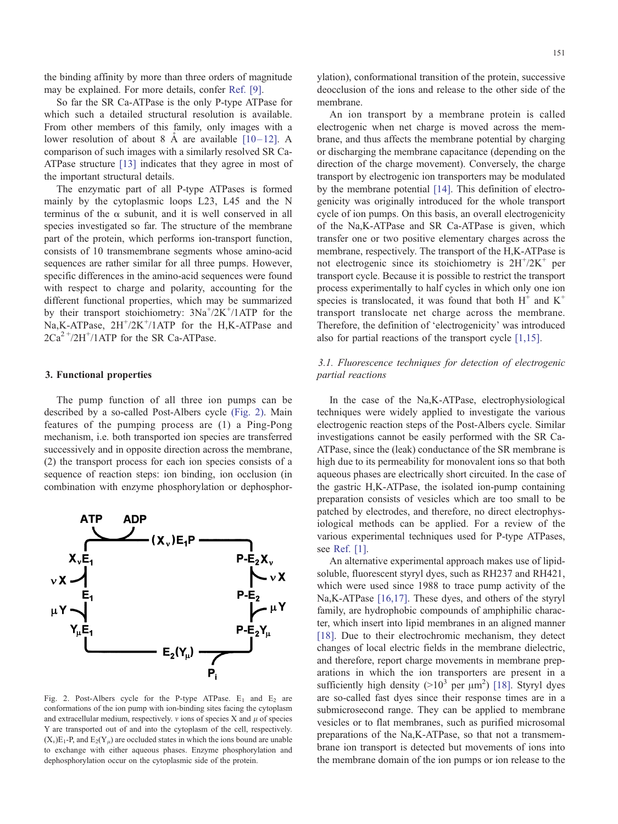<span id="page-2-0"></span>the binding affinity by more than three orders of magnitude may be explained. For more details, confer [Ref. \[9\].](#page-6-0)

So far the SR Ca-ATPase is the only P-type ATPase for which such a detailed structural resolution is available. From other members of this family, only images with a lower resolution of about 8  $\AA$  are available [10-12]. A comparison of such images with a similarly resolved SR Ca-ATPase structure [\[13\]](#page-6-0) indicates that they agree in most of the important structural details.

The enzymatic part of all P-type ATPases is formed mainly by the cytoplasmic loops L23, L45 and the N terminus of the  $\alpha$  subunit, and it is well conserved in all species investigated so far. The structure of the membrane part of the protein, which performs ion-transport function, consists of 10 transmembrane segments whose amino-acid sequences are rather similar for all three pumps. However, specific differences in the amino-acid sequences were found with respect to charge and polarity, accounting for the different functional properties, which may be summarized by their transport stoichiometry:  $3Na^{+}/2K^{+}/1ATP$  for the  $Na,K-ATPase$ ,  $2H^{+/2}K^{+/1}ATP$  for the H,K-ATPase and  $2Ca^{2+}/2H^{+}/1$  ATP for the SR Ca-ATPase.

## 3. Functional properties

The pump function of all three ion pumps can be described by a so-called Post-Albers cycle (Fig. 2). Main features of the pumping process are (1) a Ping-Pong mechanism, i.e. both transported ion species are transferred successively and in opposite direction across the membrane, (2) the transport process for each ion species consists of a sequence of reaction steps: ion binding, ion occlusion (in combination with enzyme phosphorylation or dephosphor-



Fig. 2. Post-Albers cycle for the P-type ATPase.  $E_1$  and  $E_2$  are conformations of the ion pump with ion-binding sites facing the cytoplasm and extracellular medium, respectively.  $\nu$  ions of species X and  $\mu$  of species Y are transported out of and into the cytoplasm of the cell, respectively.  $(X<sub>n</sub>)E<sub>1</sub>$ -P, and  $E<sub>2</sub>(Y<sub>n</sub>)$  are occluded states in which the ions bound are unable to exchange with either aqueous phases. Enzyme phosphorylation and dephosphorylation occur on the cytoplasmic side of the protein.

ylation), conformational transition of the protein, successive deocclusion of the ions and release to the other side of the membrane.

An ion transport by a membrane protein is called electrogenic when net charge is moved across the membrane, and thus affects the membrane potential by charging or discharging the membrane capacitance (depending on the direction of the charge movement). Conversely, the charge transport by electrogenic ion transporters may be modulated by the membrane potential [\[14\].](#page-6-0) This definition of electrogenicity was originally introduced for the whole transport cycle of ion pumps. On this basis, an overall electrogenicity of the Na,K-ATPase and SR Ca-ATPase is given, which transfer one or two positive elementary charges across the membrane, respectively. The transport of the H,K-ATPase is not electrogenic since its stoichiometry is  $2H^+/2K^+$  per transport cycle. Because it is possible to restrict the transport process experimentally to half cycles in which only one ion species is translocated, it was found that both  $H^+$  and  $K^+$ transport translocate net charge across the membrane. Therefore, the definition of 'electrogenicity' was introduced also for partial reactions of the transport cycle [\[1,15\].](#page-6-0)

# 3.1. Fluorescence techniques for detection of electrogenic partial reactions

In the case of the Na,K-ATPase, electrophysiological techniques were widely applied to investigate the various electrogenic reaction steps of the Post-Albers cycle. Similar investigations cannot be easily performed with the SR Ca-ATPase, since the (leak) conductance of the SR membrane is high due to its permeability for monovalent ions so that both aqueous phases are electrically short circuited. In the case of the gastric H,K-ATPase, the isolated ion-pump containing preparation consists of vesicles which are too small to be patched by electrodes, and therefore, no direct electrophysiological methods can be applied. For a review of the various experimental techniques used for P-type ATPases, see [Ref. \[1\].](#page-6-0)

An alternative experimental approach makes use of lipidsoluble, fluorescent styryl dyes, such as RH237 and RH421, which were used since 1988 to trace pump activity of the Na,K-ATPase [\[16,17\].](#page-6-0) These dyes, and others of the styryl family, are hydrophobic compounds of amphiphilic character, which insert into lipid membranes in an aligned manner [\[18\].](#page-6-0) Due to their electrochromic mechanism, they detect changes of local electric fields in the membrane dielectric, and therefore, report charge movements in membrane preparations in which the ion transporters are present in a sufficiently high density ( $>10^3$  per  $\mu$ m<sup>2</sup>) [\[18\].](#page-6-0) Styryl dyes are so-called fast dyes since their response times are in a submicrosecond range. They can be applied to membrane vesicles or to flat membranes, such as purified microsomal preparations of the Na,K-ATPase, so that not a transmembrane ion transport is detected but movements of ions into the membrane domain of the ion pumps or ion release to the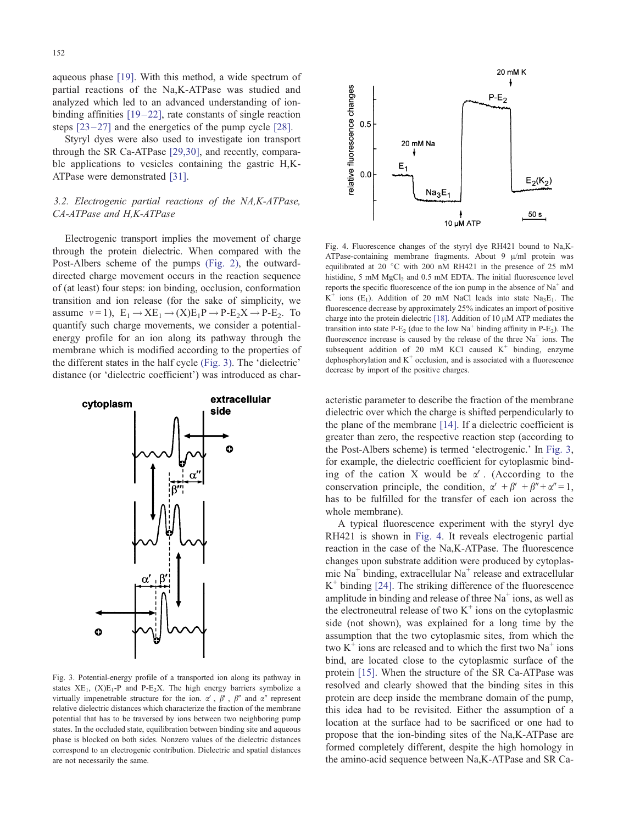aqueous phase [\[19\].](#page-6-0) With this method, a wide spectrum of partial reactions of the Na,K-ATPase was studied and analyzed which led to an advanced understanding of ionbinding affinities  $[19-22]$ , rate constants of single reaction steps  $[23-27]$  and the energetics of the pump cycle  $[28]$ .

Styryl dyes were also used to investigate ion transport through the SR Ca-ATPase [\[29,30\],](#page-6-0) and recently, comparable applications to vesicles containing the gastric H,K-ATPase were demonstrated [\[31\].](#page-7-0)

# 3.2. Electrogenic partial reactions of the NA,K-ATPase, CA-ATPase and H,K-ATPase

Electrogenic transport implies the movement of charge through the protein dielectric. When compared with the Post-Albers scheme of the pumps [\(Fig. 2\),](#page-2-0) the outwarddirected charge movement occurs in the reaction sequence of (at least) four steps: ion binding, occlusion, conformation transition and ion release (for the sake of simplicity, we assume  $v = 1$ ),  $E_1 \rightarrow XE_1 \rightarrow (X)E_1P \rightarrow P-E_2X \rightarrow P-E_2$ . To quantify such charge movements, we consider a potentialenergy profile for an ion along its pathway through the membrane which is modified according to the properties of the different states in the half cycle (Fig. 3). The 'dielectric' distance (or 'dielectric coefficient') was introduced as char-



Fig. 3. Potential-energy profile of a transported ion along its pathway in states  $XE_1$ ,  $(X)E_1$ -P and P-E<sub>2</sub>X. The high energy barriers symbolize a virtually impenetrable structure for the ion.  $\alpha'$ ,  $\beta'$ ,  $\beta''$  and  $\alpha''$  represent relative dielectric distances which characterize the fraction of the membrane potential that has to be traversed by ions between two neighboring pump states. In the occluded state, equilibration between binding site and aqueous phase is blocked on both sides. Nonzero values of the dielectric distances correspond to an electrogenic contribution. Dielectric and spatial distances are not necessarily the same.

<span id="page-3-0"></span>

Fig. 4. Fluorescence changes of the styryl dye RH421 bound to Na,K-ATPase-containing membrane fragments. About 9  $\mu$ /ml protein was equilibrated at 20  $^{\circ}$ C with 200 nM RH421 in the presence of 25 mM histidine, 5 mM  $MgCl<sub>2</sub>$  and 0.5 mM EDTA. The initial fluorescence level reports the specific fluorescence of the ion pump in the absence of  $Na<sup>+</sup>$  and  $K^+$  ions (E<sub>1</sub>). Addition of 20 mM NaCl leads into state Na<sub>3</sub>E<sub>1</sub>. The fluorescence decrease by approximately 25% indicates an import of positive charge into the protein dielectric [\[18\].](#page-6-0) Addition of 10  $\mu$ M ATP mediates the transition into state P-E<sub>2</sub> (due to the low  $Na<sup>+</sup>$  binding affinity in P-E<sub>2</sub>). The fluorescence increase is caused by the release of the three  $Na<sup>+</sup>$  ions. The subsequent addition of 20 mM KCl caused  $K^+$  binding, enzyme dephosphorylation and  $K^+$  occlusion, and is associated with a fluorescence decrease by import of the positive charges.

acteristic parameter to describe the fraction of the membrane dielectric over which the charge is shifted perpendicularly to the plane of the membrane [\[14\].](#page-6-0) If a dielectric coefficient is greater than zero, the respective reaction step (according to the Post-Albers scheme) is termed 'electrogenic.' In Fig. 3, for example, the dielectric coefficient for cytoplasmic binding of the cation X would be  $\alpha'$ . (According to the conservation principle, the condition,  $\alpha' + \beta' + \beta'' + \alpha'' = 1$ , has to be fulfilled for the transfer of each ion across the whole membrane).

A typical fluorescence experiment with the styryl dye RH421 is shown in Fig. 4. It reveals electrogenic partial reaction in the case of the Na,K-ATPase. The fluorescence changes upon substrate addition were produced by cytoplasmic  $Na<sup>+</sup> binding, extracellular Na<sup>+</sup> release and extracellular$  $K^+$  binding [\[24\].](#page-6-0) The striking difference of the fluorescence amplitude in binding and release of three  $Na<sup>+</sup>$  ions, as well as the electroneutral release of two  $K^+$  ions on the cytoplasmic side (not shown), was explained for a long time by the assumption that the two cytoplasmic sites, from which the two  $K^+$  ions are released and to which the first two  $Na^+$  ions bind, are located close to the cytoplasmic surface of the protein [\[15\].](#page-6-0) When the structure of the SR Ca-ATPase was resolved and clearly showed that the binding sites in this protein are deep inside the membrane domain of the pump, this idea had to be revisited. Either the assumption of a location at the surface had to be sacrificed or one had to propose that the ion-binding sites of the Na,K-ATPase are formed completely different, despite the high homology in the amino-acid sequence between Na,K-ATPase and SR Ca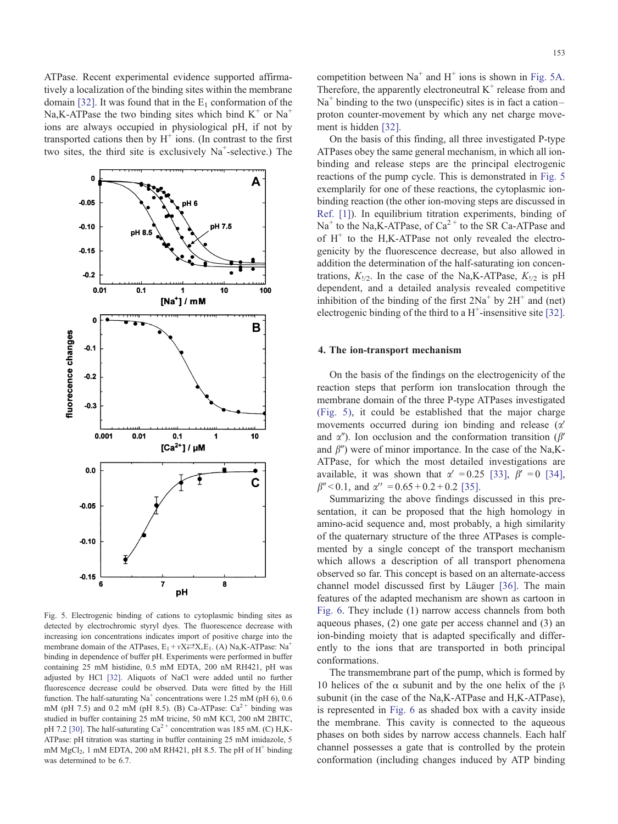ATPase. Recent experimental evidence supported affirmatively a localization of the binding sites within the membrane domain [\[32\].](#page-7-0) It was found that in the  $E_1$  conformation of the Na,K-ATPase the two binding sites which bind  $K^+$  or Na<sup>+</sup> ions are always occupied in physiological pH, if not by transported cations then by  $H^+$  ions. (In contrast to the first two sites, the third site is exclusively Na<sup>+</sup>-selective.) The



Fig. 5. Electrogenic binding of cations to cytoplasmic binding sites as detected by electrochromic styryl dyes. The fluorescence decrease with increasing ion concentrations indicates import of positive charge into the membrane domain of the ATPases,  $E_1 + vX \rightleftarrows X_vE_1$ . (A) Na,K-ATPase: Na<sup>+</sup> binding in dependence of buffer pH. Experiments were performed in buffer containing 25 mM histidine, 0.5 mM EDTA, 200 nM RH421, pH was adjusted by HCl [\[32\].](#page-7-0) Aliquots of NaCl were added until no further fluorescence decrease could be observed. Data were fitted by the Hill function. The half-saturating Na<sup>+</sup> concentrations were 1.25 mM (pH 6), 0.6 mM (pH 7.5) and 0.2 mM (pH 8.5). (B) Ca-ATPase:  $Ca<sup>2+</sup>$  binding was studied in buffer containing 25 mM tricine, 50 mM KCl, 200 nM 2BITC, pH 7.2 [\[30\].](#page-7-0) The half-saturating  $Ca^{2+}$  concentration was 185 nM. (C) H,K-ATPase: pH titration was starting in buffer containing 25 mM imidazole, 5 mM MgCl<sub>2</sub>, 1 mM EDTA, 200 nM RH421, pH 8.5. The pH of  $H^+$  binding was determined to be 6.7.

competition between  $Na<sup>+</sup>$  and  $H<sup>+</sup>$  ions is shown in Fig. 5A. Therefore, the apparently electroneutral  $K^+$  release from and  $Na<sup>+</sup> binding to the two (unspecific) sites is in fact a cation$ proton counter-movement by which any net charge movement is hidden [\[32\].](#page-7-0)

On the basis of this finding, all three investigated P-type ATPases obey the same general mechanism, in which all ionbinding and release steps are the principal electrogenic reactions of the pump cycle. This is demonstrated in Fig. 5 exemplarily for one of these reactions, the cytoplasmic ionbinding reaction (the other ion-moving steps are discussed in [Ref. \[1\]\)](#page-6-0). In equilibrium titration experiments, binding of  $Na<sup>+</sup>$  to the Na,K-ATPase, of Ca<sup>2+</sup> to the SR Ca-ATPase and of  $H^+$  to the H,K-ATPase not only revealed the electrogenicity by the fluorescence decrease, but also allowed in addition the determination of the half-saturating ion concentrations,  $K_{1/2}$ . In the case of the Na,K-ATPase,  $K_{1/2}$  is pH dependent, and a detailed analysis revealed competitive inhibition of the binding of the first  $2Na<sup>+</sup>$  by  $2H<sup>+</sup>$  and (net) electrogenic binding of the third to a  $H^+$ -insensitive site [\[32\].](#page-7-0)

### 4. The ion-transport mechanism

On the basis of the findings on the electrogenicity of the reaction steps that perform ion translocation through the membrane domain of the three P-type ATPases investigated [\(Fig. 5\),](#page-3-0) it could be established that the major charge movements occurred during ion binding and release  $(\alpha')$ and  $\alpha''$ ). Ion occlusion and the conformation transition ( $\beta'$ and  $\beta$ ") were of minor importance. In the case of the Na,K-ATPase, for which the most detailed investigations are available, it was shown that  $\alpha' = 0.25$  [\[33\],](#page-7-0)  $\beta' = 0$  [\[34\],](#page-7-0)  $\beta''$  < 0.1, and  $\alpha'' = 0.65 + 0.2 + 0.2$  [\[35\].](#page-7-0)

Summarizing the above findings discussed in this presentation, it can be proposed that the high homology in amino-acid sequence and, most probably, a high similarity of the quaternary structure of the three ATPases is complemented by a single concept of the transport mechanism which allows a description of all transport phenomena observed so far. This concept is based on an alternate-access channel model discussed first by Läuger [\[36\].](#page-7-0) The main features of the adapted mechanism are shown as cartoon in [Fig. 6.](#page-5-0) They include (1) narrow access channels from both aqueous phases, (2) one gate per access channel and (3) an ion-binding moiety that is adapted specifically and differently to the ions that are transported in both principal conformations.

The transmembrane part of the pump, which is formed by 10 helices of the  $\alpha$  subunit and by the one helix of the  $\beta$ subunit (in the case of the Na,K-ATPase and H,K-ATPase), is represented in [Fig. 6](#page-5-0) as shaded box with a cavity inside the membrane. This cavity is connected to the aqueous phases on both sides by narrow access channels. Each half channel possesses a gate that is controlled by the protein conformation (including changes induced by ATP binding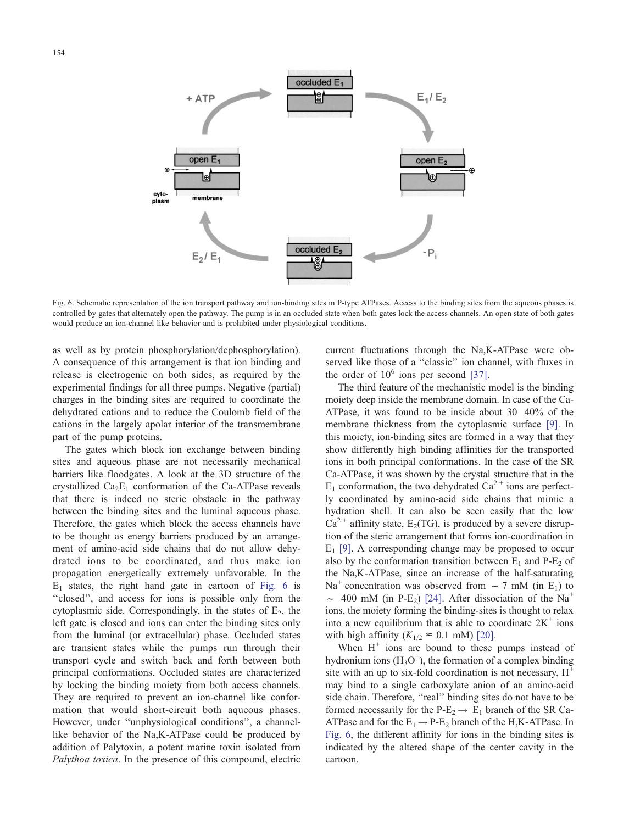<span id="page-5-0"></span>

Fig. 6. Schematic representation of the ion transport pathway and ion-binding sites in P-type ATPases. Access to the binding sites from the aqueous phases is controlled by gates that alternately open the pathway. The pump is in an occluded state when both gates lock the access channels. An open state of both gates would produce an ion-channel like behavior and is prohibited under physiological conditions.

as well as by protein phosphorylation/dephosphorylation). A consequence of this arrangement is that ion binding and release is electrogenic on both sides, as required by the experimental findings for all three pumps. Negative (partial) charges in the binding sites are required to coordinate the dehydrated cations and to reduce the Coulomb field of the cations in the largely apolar interior of the transmembrane part of the pump proteins.

The gates which block ion exchange between binding sites and aqueous phase are not necessarily mechanical barriers like floodgates. A look at the 3D structure of the crystallized  $Ca<sub>2</sub>E<sub>1</sub>$  conformation of the Ca-ATPase reveals that there is indeed no steric obstacle in the pathway between the binding sites and the luminal aqueous phase. Therefore, the gates which block the access channels have to be thought as energy barriers produced by an arrangement of amino-acid side chains that do not allow dehydrated ions to be coordinated, and thus make ion propagation energetically extremely unfavorable. In the  $E_1$  states, the right hand gate in cartoon of Fig. 6 is ''closed'', and access for ions is possible only from the cytoplasmic side. Correspondingly, in the states of  $E_2$ , the left gate is closed and ions can enter the binding sites only from the luminal (or extracellular) phase. Occluded states are transient states while the pumps run through their transport cycle and switch back and forth between both principal conformations. Occluded states are characterized by locking the binding moiety from both access channels. They are required to prevent an ion-channel like conformation that would short-circuit both aqueous phases. However, under ''unphysiological conditions'', a channellike behavior of the Na,K-ATPase could be produced by addition of Palytoxin, a potent marine toxin isolated from Palythoa toxica. In the presence of this compound, electric current fluctuations through the Na,K-ATPase were observed like those of a ''classic'' ion channel, with fluxes in the order of  $10^6$  ions per second [\[37\].](#page-7-0)

The third feature of the mechanistic model is the binding moiety deep inside the membrane domain. In case of the Ca-ATPase, it was found to be inside about  $30-40\%$  of the membrane thickness from the cytoplasmic surface [\[9\].](#page-6-0) In this moiety, ion-binding sites are formed in a way that they show differently high binding affinities for the transported ions in both principal conformations. In the case of the SR Ca-ATPase, it was shown by the crystal structure that in the  $E_1$  conformation, the two dehydrated  $Ca^{2+}$  ions are perfectly coordinated by amino-acid side chains that mimic a hydration shell. It can also be seen easily that the low  $Ca^{2+}$  affinity state, E<sub>2</sub>(TG), is produced by a severe disruption of the steric arrangement that forms ion-coordination in  $E_1$  [\[9\].](#page-6-0) A corresponding change may be proposed to occur also by the conformation transition between  $E_1$  and  $P-E_2$  of the Na,K-ATPase, since an increase of the half-saturating  $Na<sup>+</sup>$  concentration was observed from  $\sim$  7 mM (in E<sub>1</sub>) to  $\sim$  400 mM (in P-E<sub>2</sub>) [\[24\].](#page-6-0) After dissociation of the Na<sup>+</sup> ions, the moiety forming the binding-sites is thought to relax into a new equilibrium that is able to coordinate  $2K^+$  ions with high affinity  $(K_{1/2} \approx 0.1 \text{ mM})$  [\[20\].](#page-6-0)

When  $H^+$  ions are bound to these pumps instead of hydronium ions  $(H_3O^+)$ , the formation of a complex binding site with an up to six-fold coordination is not necessary,  $H^+$ may bind to a single carboxylate anion of an amino-acid side chain. Therefore, ''real'' binding sites do not have to be formed necessarily for the P-E<sub>2</sub>  $\rightarrow$  E<sub>1</sub> branch of the SR Ca-ATPase and for the  $E_1 \rightarrow P-E_2$  branch of the H,K-ATPase. In Fig. 6, the different affinity for ions in the binding sites is indicated by the altered shape of the center cavity in the cartoon.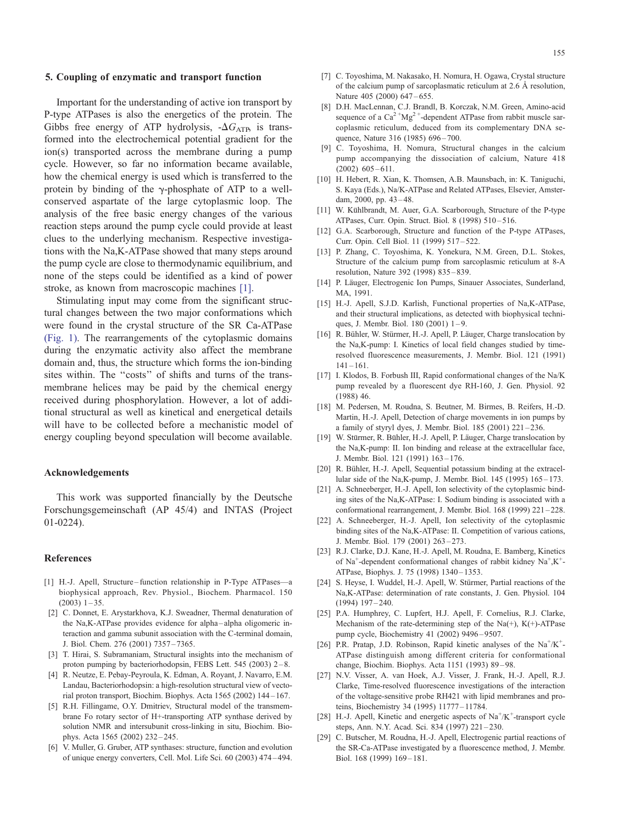### <span id="page-6-0"></span>5. Coupling of enzymatic and transport function

Important for the understanding of active ion transport by P-type ATPases is also the energetics of the protein. The Gibbs free energy of ATP hydrolysis,  $-\Delta G_{ATP}$ , is transformed into the electrochemical potential gradient for the ion(s) transported across the membrane during a pump cycle. However, so far no information became available, how the chemical energy is used which is transferred to the protein by binding of the  $\gamma$ -phosphate of ATP to a wellconserved aspartate of the large cytoplasmic loop. The analysis of the free basic energy changes of the various reaction steps around the pump cycle could provide at least clues to the underlying mechanism. Respective investigations with the Na,K-ATPase showed that many steps around the pump cycle are close to thermodynamic equilibrium, and none of the steps could be identified as a kind of power stroke, as known from macroscopic machines [1].

Stimulating input may come from the significant structural changes between the two major conformations which were found in the crystal structure of the SR Ca-ATPase [\(Fig. 1\)](#page-1-0). The rearrangements of the cytoplasmic domains during the enzymatic activity also affect the membrane domain and, thus, the structure which forms the ion-binding sites within. The ''costs'' of shifts and turns of the transmembrane helices may be paid by the chemical energy received during phosphorylation. However, a lot of additional structural as well as kinetical and energetical details will have to be collected before a mechanistic model of energy coupling beyond speculation will become available.

# Acknowledgements

This work was supported financially by the Deutsche Forschungsgemeinschaft (AP 45/4) and INTAS (Project 01-0224).

#### References

- [1] H.-J. Apell, Structure function relationship in P-Type ATPases—a biophysical approach, Rev. Physiol., Biochem. Pharmacol. 150  $(2003)$  1 – 35.
- [2] C. Donnet, E. Arystarkhova, K.J. Sweadner, Thermal denaturation of the Na,K-ATPase provides evidence for alpha – alpha oligomeric interaction and gamma subunit association with the C-terminal domain, J. Biol. Chem. 276 (2001) 7357 – 7365.
- [3] T. Hirai, S. Subramaniam, Structural insights into the mechanism of proton pumping by bacteriorhodopsin, FEBS Lett.  $545$  (2003)  $2-8$ .
- [4] R. Neutze, E. Pebay-Peyroula, K. Edman, A. Royant, J. Navarro, E.M. Landau, Bacteriorhodopsin: a high-resolution structural view of vectorial proton transport, Biochim. Biophys. Acta 1565 (2002) 144 – 167.
- [5] R.H. Fillingame, O.Y. Dmitriev, Structural model of the transmembrane Fo rotary sector of H+-transporting ATP synthase derived by solution NMR and intersubunit cross-linking in situ, Biochim. Biophys. Acta 1565 (2002) 232-245.
- [6] V. Muller, G. Gruber, ATP synthases: structure, function and evolution of unique energy converters, Cell. Mol. Life Sci. 60 (2003) 474 – 494.
- [7] C. Toyoshima, M. Nakasako, H. Nomura, H. Ogawa, Crystal structure of the calcium pump of sarcoplasmatic reticulum at  $2.6 \text{ Å}$  resolution, Nature 405 (2000) 647-655.
- [8] D.H. MacLennan, C.J. Brandl, B. Korczak, N.M. Green, Amino-acid sequence of a  $Ca^{2+}Mg^{2+}$ -dependent ATPase from rabbit muscle sarcoplasmic reticulum, deduced from its complementary DNA sequence, Nature 316 (1985) 696-700.
- [9] C. Toyoshima, H. Nomura, Structural changes in the calcium pump accompanying the dissociation of calcium, Nature 418  $(2002)$  605 – 611.
- [10] H. Hebert, R. Xian, K. Thomsen, A.B. Maunsbach, in: K. Taniguchi, S. Kaya (Eds.), Na/K-ATPase and Related ATPases, Elsevier, Amsterdam, 2000, pp. 43-48.
- [11] W. Kühlbrandt, M. Auer, G.A. Scarborough, Structure of the P-type ATPases, Curr. Opin. Struct. Biol. 8 (1998) 510 – 516.
- [12] G.A. Scarborough, Structure and function of the P-type ATPases, Curr. Opin. Cell Biol. 11 (1999) 517 – 522.
- [13] P. Zhang, C. Toyoshima, K. Yonekura, N.M. Green, D.L. Stokes, Structure of the calcium pump from sarcoplasmic reticulum at 8-A resolution, Nature 392 (1998) 835 – 839.
- [14] P. Läuger, Electrogenic Ion Pumps, Sinauer Associates, Sunderland, MA, 1991.
- [15] H.-J. Apell, S.J.D. Karlish, Functional properties of Na,K-ATPase, and their structural implications, as detected with biophysical techniques, J. Membr. Biol. 180 (2001) 1-9.
- [16] R. Bühler, W. Stürmer, H.-J. Apell, P. Läuger, Charge translocation by the Na,K-pump: I. Kinetics of local field changes studied by timeresolved fluorescence measurements, J. Membr. Biol. 121 (1991)  $141 - 161.$
- [17] I. Klodos, B. Forbush III, Rapid conformational changes of the Na/K pump revealed by a fluorescent dye RH-160, J. Gen. Physiol. 92 (1988) 46.
- [18] M. Pedersen, M. Roudna, S. Beutner, M. Birmes, B. Reifers, H.-D. Martin, H.-J. Apell, Detection of charge movements in ion pumps by a family of styryl dyes, J. Membr. Biol. 185 (2001) 221 – 236.
- [19] W. Stürmer, R. Bühler, H.-J. Apell, P. Läuger, Charge translocation by the Na,K-pump: II. Ion binding and release at the extracellular face, J. Membr. Biol. 121 (1991) 163 – 176.
- [20] R. Bühler, H.-J. Apell, Sequential potassium binding at the extracellular side of the Na,K-pump, J. Membr. Biol. 145 (1995) 165 – 173.
- [21] A. Schneeberger, H.-J. Apell, Ion selectivity of the cytoplasmic binding sites of the Na,K-ATPase: I. Sodium binding is associated with a conformational rearrangement, J. Membr. Biol. 168 (1999) 221 – 228.
- [22] A. Schneeberger, H.-J. Apell, Ion selectivity of the cytoplasmic binding sites of the Na,K-ATPase: II. Competition of various cations, J. Membr. Biol. 179 (2001) 263 – 273.
- [23] R.J. Clarke, D.J. Kane, H.-J. Apell, M. Roudna, E. Bamberg, Kinetics of Na<sup>+</sup>-dependent conformational changes of rabbit kidney Na<sup>+</sup>,K<sup>+</sup>-ATPase, Biophys. J. 75 (1998) 1340-1353.
- [24] S. Heyse, I. Wuddel, H.-J. Apell, W. Stürmer, Partial reactions of the Na,K-ATPase: determination of rate constants, J. Gen. Physiol. 104 (1994) 197 – 240.
- [25] P.A. Humphrey, C. Lupfert, H.J. Apell, F. Cornelius, R.J. Clarke, Mechanism of the rate-determining step of the Na(+),  $K(+)$ -ATPase pump cycle, Biochemistry 41 (2002) 9496 – 9507.
- [26] P.R. Pratap, J.D. Robinson, Rapid kinetic analyses of the  $Na^+/K^+$ -ATPase distinguish among different criteria for conformational change, Biochim. Biophys. Acta 1151 (1993) 89 – 98.
- [27] N.V. Visser, A. van Hoek, A.J. Visser, J. Frank, H.-J. Apell, R.J. Clarke, Time-resolved fluorescence investigations of the interaction of the voltage-sensitive probe RH421 with lipid membranes and proteins, Biochemistry 34 (1995) 11777 – 11784.
- [28] H.-J. Apell, Kinetic and energetic aspects of Na<sup>+</sup>/K<sup>+</sup>-transport cycle steps, Ann. N.Y. Acad. Sci. 834 (1997) 221 – 230.
- [29] C. Butscher, M. Roudna, H.-J. Apell, Electrogenic partial reactions of the SR-Ca-ATPase investigated by a fluorescence method, J. Membr. Biol. 168 (1999) 169 – 181.